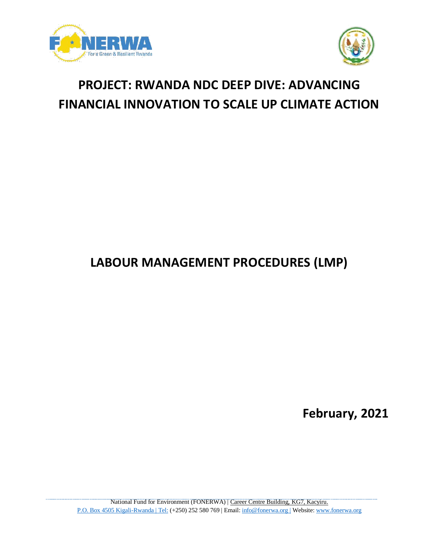



# **PROJECT: RWANDA NDC DEEP DIVE: ADVANCING FINANCIAL INNOVATION TO SCALE UP CLIMATE ACTION**

## **LABOUR MANAGEMENT PROCEDURES (LMP)**

**February, 2021**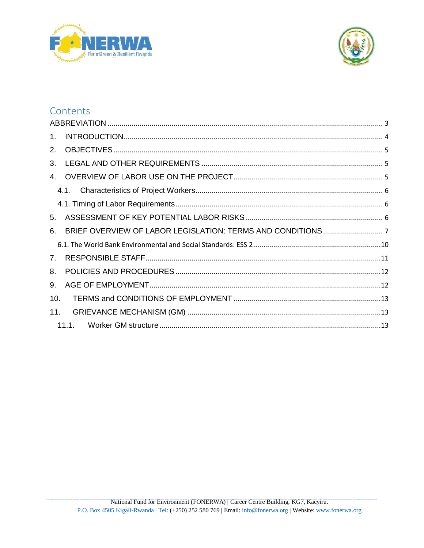



## Contents

| 1.          |  |  |
|-------------|--|--|
| 2.          |  |  |
| 3.          |  |  |
|             |  |  |
|             |  |  |
|             |  |  |
| 5.          |  |  |
| 6.          |  |  |
|             |  |  |
| $7_{\cdot}$ |  |  |
| 8.          |  |  |
| 9.          |  |  |
| 10.         |  |  |
| 11.         |  |  |
|             |  |  |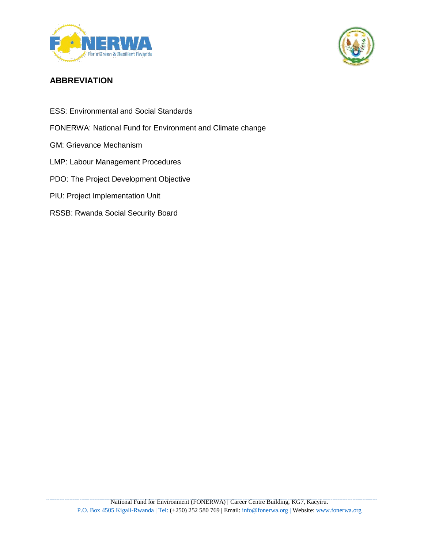



## <span id="page-2-0"></span>**ABBREVIATION**

- ESS: Environmental and Social Standards
- FONERWA: National Fund for Environment and Climate change
- GM: Grievance Mechanism
- LMP: Labour Management Procedures
- PDO: The Project Development Objective
- PIU: Project Implementation Unit
- RSSB: Rwanda Social Security Board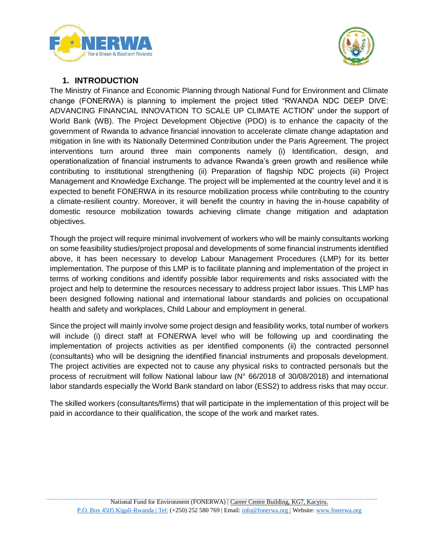



#### **1. INTRODUCTION**

<span id="page-3-0"></span>The Ministry of Finance and Economic Planning through National Fund for Environment and Climate change (FONERWA) is planning to implement the project titled "RWANDA NDC DEEP DIVE: ADVANCING FINANCIAL INNOVATION TO SCALE UP CLIMATE ACTION" under the support of World Bank (WB). The Project Development Objective (PDO) is to enhance the capacity of the government of Rwanda to advance financial innovation to accelerate climate change adaptation and mitigation in line with its Nationally Determined Contribution under the Paris Agreement. The project interventions turn around three main components namely (i) Identification, design, and operationalization of financial instruments to advance Rwanda's green growth and resilience while contributing to institutional strengthening (ii) Preparation of flagship NDC projects (iii) Project Management and Knowledge Exchange. The project will be implemented at the country level and it is expected to benefit FONERWA in its resource mobilization process while contributing to the country a climate-resilient country. Moreover, it will benefit the country in having the in-house capability of domestic resource mobilization towards achieving climate change mitigation and adaptation objectives.

Though the project will require minimal involvement of workers who will be mainly consultants working on some feasibility studies/project proposal and developments of some financial instruments identified above, it has been necessary to develop Labour Management Procedures (LMP) for its better implementation. The purpose of this LMP is to facilitate planning and implementation of the project in terms of working conditions and identify possible labor requirements and risks associated with the project and help to determine the resources necessary to address project labor issues. This LMP has been designed following national and international labour standards and policies on occupational health and safety and workplaces, Child Labour and employment in general.

Since the project will mainly involve some project design and feasibility works, total number of workers will include (i) direct staff at FONERWA level who will be following up and coordinating the implementation of projects activities as per identified components (ii) the contracted personnel (consultants) who will be designing the identified financial instruments and proposals development. The project activities are expected not to cause any physical risks to contracted personals but the process of recruitment will follow National labour law (N° 66/2018 of 30/08/2018) and international labor standards especially the World Bank standard on labor (ESS2) to address risks that may occur.

The skilled workers (consultants/firms) that will participate in the implementation of this project will be paid in accordance to their qualification, the scope of the work and market rates.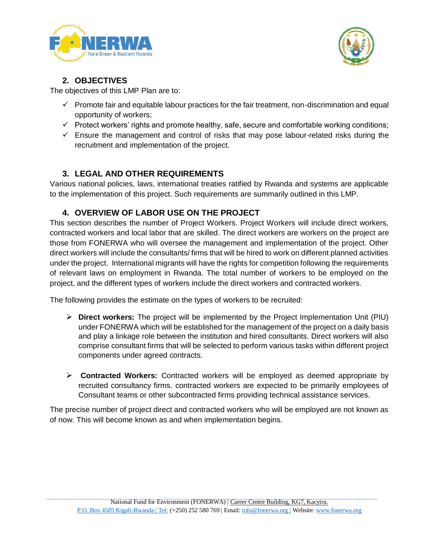



## **2. OBJECTIVES**

<span id="page-4-0"></span>The objectives of this LMP Plan are to:

- $\checkmark$  Promote fair and equitable labour practices for the fair treatment, non-discrimination and equal opportunity of workers;
- $\checkmark$  Protect workers' rights and promote healthy, safe, secure and comfortable working conditions;
- $\checkmark$  Ensure the management and control of risks that may pose labour-related risks during the recruitment and implementation of the project.

## **3. LEGAL AND OTHER REQUIREMENTS**

<span id="page-4-1"></span>Various national policies, laws, international treaties ratified by Rwanda and systems are applicable to the implementation of this project. Such requirements are summarily outlined in this LMP.

## <span id="page-4-2"></span>**4. OVERVIEW OF LABOR USE ON THE PROJECT**

This section describes the number of Project Workers. Project Workers will include direct workers, contracted workers and local labor that are skilled. The direct workers are workers on the project are those from FONERWA who will oversee the management and implementation of the project. Other direct workers will include the consultants/ firms that will be hired to work on different planned activities under the project. International migrants will have the rights for competition following the requirements of relevant laws on employment in Rwanda. The total number of workers to be employed on the project, and the different types of workers include the direct workers and contracted workers.

The following provides the estimate on the types of workers to be recruited:

- **Direct workers:** The project will be implemented by the Project Implementation Unit (PIU) under FONERWA which will be established for the management of the project on a daily basis and play a linkage role between the institution and hired consultants. Direct workers will also comprise consultant firms that will be selected to perform various tasks within different project components under agreed contracts.
- **Contracted Workers:** Contracted workers will be employed as deemed appropriate by recruited consultancy firms. contracted workers are expected to be primarily employees of Consultant teams or other subcontracted firms providing technical assistance services.

The precise number of project direct and contracted workers who will be employed are not known as of now. This will become known as and when implementation begins.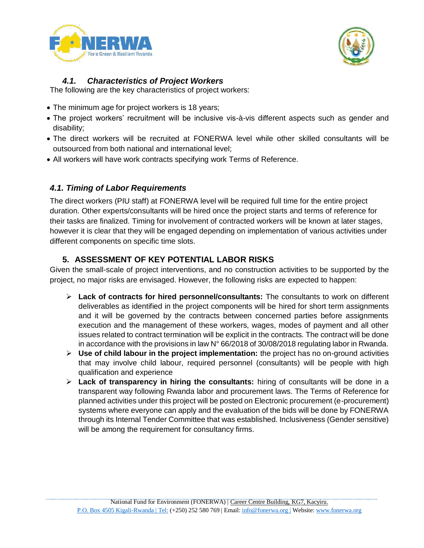



### *4.1. Characteristics of Project Workers*

<span id="page-5-0"></span>The following are the key characteristics of project workers:

- The minimum age for project workers is 18 years;
- The project workers' recruitment will be inclusive vis-à-vis different aspects such as gender and disability;
- The direct workers will be recruited at FONERWA level while other skilled consultants will be outsourced from both national and international level;
- All workers will have work contracts specifying work Terms of Reference.

### <span id="page-5-1"></span>*4.1. Timing of Labor Requirements*

The direct workers (PIU staff) at FONERWA level will be required full time for the entire project duration. Other experts/consultants will be hired once the project starts and terms of reference for their tasks are finalized. Timing for involvement of contracted workers will be known at later stages, however it is clear that they will be engaged depending on implementation of various activities under different components on specific time slots.

## **5. ASSESSMENT OF KEY POTENTIAL LABOR RISKS**

<span id="page-5-2"></span>Given the small-scale of project interventions, and no construction activities to be supported by the project, no major risks are envisaged. However, the following risks are expected to happen:

- **Lack of contracts for hired personnel/consultants:** The consultants to work on different deliverables as identified in the project components will be hired for short term assignments and it will be governed by the contracts between concerned parties before assignments execution and the management of these workers, wages, modes of payment and all other issues related to contract termination will be explicit in the contracts. The contract will be done in accordance with the provisions in law N° 66/2018 of 30/08/2018 regulating labor in Rwanda.
- **Use of child labour in the project implementation:** the project has no on-ground activities that may involve child labour, required personnel (consultants) will be people with high qualification and experience
- **Lack of transparency in hiring the consultants:** hiring of consultants will be done in a transparent way following Rwanda labor and procurement laws. The Terms of Reference for planned activities under this project will be posted on Electronic procurement (e-procurement) systems where everyone can apply and the evaluation of the bids will be done by FONERWA through its Internal Tender Committee that was established. Inclusiveness (Gender sensitive) will be among the requirement for consultancy firms.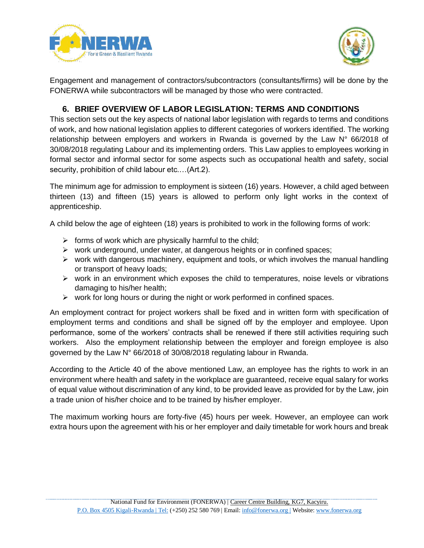



Engagement and management of contractors/subcontractors (consultants/firms) will be done by the FONERWA while subcontractors will be managed by those who were contracted.

#### **6. BRIEF OVERVIEW OF LABOR LEGISLATION: TERMS AND CONDITIONS**

<span id="page-6-0"></span>This section sets out the key aspects of national labor legislation with regards to terms and conditions of work, and how national legislation applies to different categories of workers identified. The working relationship between employers and workers in Rwanda is governed by the Law  $N^{\circ}$  66/2018 of 30/08/2018 regulating Labour and its implementing orders. This Law applies to employees working in formal sector and informal sector for some aspects such as occupational health and safety, social security, prohibition of child labour etc.…(Art.2).

The minimum age for admission to employment is sixteen (16) years. However, a child aged between thirteen (13) and fifteen (15) years is allowed to perform only light works in the context of apprenticeship.

A child below the age of eighteen (18) years is prohibited to work in the following forms of work:

- $\triangleright$  forms of work which are physically harmful to the child;
- $\triangleright$  work underground, under water, at dangerous heights or in confined spaces;
- $\triangleright$  work with dangerous machinery, equipment and tools, or which involves the manual handling or transport of heavy loads;
- $\triangleright$  work in an environment which exposes the child to temperatures, noise levels or vibrations damaging to his/her health;
- $\triangleright$  work for long hours or during the night or work performed in confined spaces.

An employment contract for project workers shall be fixed and in written form with specification of employment terms and conditions and shall be signed off by the employer and employee. Upon performance, some of the workers' contracts shall be renewed if there still activities requiring such workers. Also the employment relationship between the employer and foreign employee is also governed by the Law N° 66/2018 of 30/08/2018 regulating labour in Rwanda.

According to the Article 40 of the above mentioned Law, an employee has the rights to work in an environment where health and safety in the workplace are guaranteed, receive equal salary for works of equal value without discrimination of any kind, to be provided leave as provided for by the Law, join a trade union of his/her choice and to be trained by his/her employer.

The maximum working hours are forty-five (45) hours per week. However, an employee can work extra hours upon the agreement with his or her employer and daily timetable for work hours and break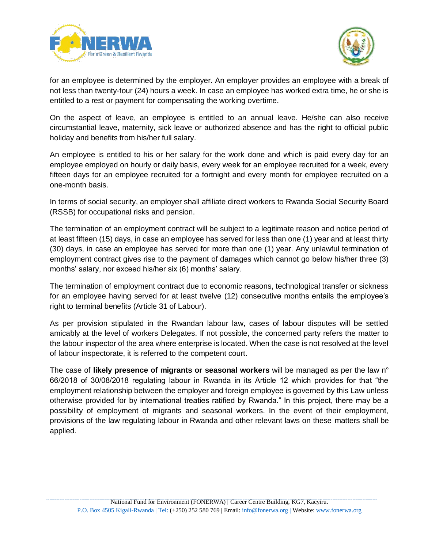



for an employee is determined by the employer. An employer provides an employee with a break of not less than twenty-four (24) hours a week. In case an employee has worked extra time, he or she is entitled to a rest or payment for compensating the working overtime.

On the aspect of leave, an employee is entitled to an annual leave. He/she can also receive circumstantial leave, maternity, sick leave or authorized absence and has the right to official public holiday and benefits from his/her full salary.

An employee is entitled to his or her salary for the work done and which is paid every day for an employee employed on hourly or daily basis, every week for an employee recruited for a week, every fifteen days for an employee recruited for a fortnight and every month for employee recruited on a one-month basis.

In terms of social security, an employer shall affiliate direct workers to Rwanda Social Security Board (RSSB) for occupational risks and pension.

The termination of an employment contract will be subject to a legitimate reason and notice period of at least fifteen (15) days, in case an employee has served for less than one (1) year and at least thirty (30) days, in case an employee has served for more than one (1) year. Any unlawful termination of employment contract gives rise to the payment of damages which cannot go below his/her three (3) months' salary, nor exceed his/her six (6) months' salary.

The termination of employment contract due to economic reasons, technological transfer or sickness for an employee having served for at least twelve (12) consecutive months entails the employee's right to terminal benefits (Article 31 of Labour).

As per provision stipulated in the Rwandan labour law, cases of labour disputes will be settled amicably at the level of workers Delegates. If not possible, the concerned party refers the matter to the labour inspector of the area where enterprise is located. When the case is not resolved at the level of labour inspectorate, it is referred to the competent court.

The case of **likely presence of migrants or seasonal workers** will be managed as per the law n° 66/2018 of 30/08/2018 regulating labour in Rwanda in its Article 12 which provides for that "the employment relationship between the employer and foreign employee is governed by this Law unless otherwise provided for by international treaties ratified by Rwanda." In this project, there may be a possibility of employment of migrants and seasonal workers. In the event of their employment, provisions of the law regulating labour in Rwanda and other relevant laws on these matters shall be applied.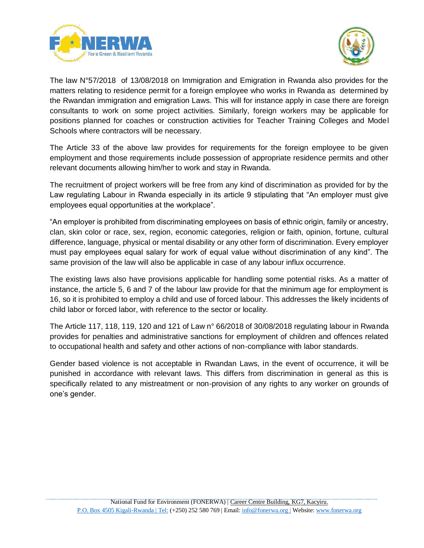



The law N°57/2018 of 13/08/2018 on Immigration and Emigration in Rwanda also provides for the matters relating to residence permit for a foreign employee who works in Rwanda as determined by the Rwandan immigration and emigration Laws. This will for instance apply in case there are foreign consultants to work on some project activities. Similarly, foreign workers may be applicable for positions planned for coaches or construction activities for Teacher Training Colleges and Model Schools where contractors will be necessary.

The Article 33 of the above law provides for requirements for the foreign employee to be given employment and those requirements include possession of appropriate residence permits and other relevant documents allowing him/her to work and stay in Rwanda.

The recruitment of project workers will be free from any kind of discrimination as provided for by the Law regulating Labour in Rwanda especially in its article 9 stipulating that "An employer must give employees equal opportunities at the workplace".

"An employer is prohibited from discriminating employees on basis of ethnic origin, family or ancestry, clan, skin color or race, sex, region, economic categories, religion or faith, opinion, fortune, cultural difference, language, physical or mental disability or any other form of discrimination. Every employer must pay employees equal salary for work of equal value without discrimination of any kind". The same provision of the law will also be applicable in case of any labour influx occurrence.

The existing laws also have provisions applicable for handling some potential risks. As a matter of instance, the article 5, 6 and 7 of the labour law provide for that the minimum age for employment is 16, so it is prohibited to employ a child and use of forced labour. This addresses the likely incidents of child labor or forced labor, with reference to the sector or locality.

The Article 117, 118, 119, 120 and 121 of Law n° 66/2018 of 30/08/2018 regulating labour in Rwanda provides for penalties and administrative sanctions for employment of children and offences related to occupational health and safety and other actions of non-compliance with labor standards.

Gender based violence is not acceptable in Rwandan Laws, in the event of occurrence, it will be punished in accordance with relevant laws. This differs from discrimination in general as this is specifically related to any mistreatment or non-provision of any rights to any worker on grounds of one's gender.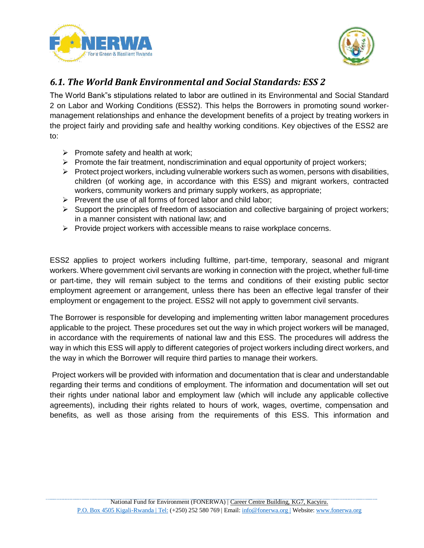



## <span id="page-9-0"></span>*6.1. The World Bank Environmental and Social Standards: ESS 2*

The World Bank"s stipulations related to labor are outlined in its Environmental and Social Standard 2 on Labor and Working Conditions (ESS2). This helps the Borrowers in promoting sound workermanagement relationships and enhance the development benefits of a project by treating workers in the project fairly and providing safe and healthy working conditions. Key objectives of the ESS2 are to:

- $\triangleright$  Promote safety and health at work;
- $\triangleright$  Promote the fair treatment, nondiscrimination and equal opportunity of project workers;
- $\triangleright$  Protect project workers, including vulnerable workers such as women, persons with disabilities, children (of working age, in accordance with this ESS) and migrant workers, contracted workers, community workers and primary supply workers, as appropriate;
- $\triangleright$  Prevent the use of all forms of forced labor and child labor;
- $\triangleright$  Support the principles of freedom of association and collective bargaining of project workers; in a manner consistent with national law; and
- $\triangleright$  Provide project workers with accessible means to raise workplace concerns.

ESS2 applies to project workers including fulltime, part-time, temporary, seasonal and migrant workers. Where government civil servants are working in connection with the project, whether full-time or part-time, they will remain subject to the terms and conditions of their existing public sector employment agreement or arrangement, unless there has been an effective legal transfer of their employment or engagement to the project. ESS2 will not apply to government civil servants.

The Borrower is responsible for developing and implementing written labor management procedures applicable to the project. These procedures set out the way in which project workers will be managed, in accordance with the requirements of national law and this ESS. The procedures will address the way in which this ESS will apply to different categories of project workers including direct workers, and the way in which the Borrower will require third parties to manage their workers.

Project workers will be provided with information and documentation that is clear and understandable regarding their terms and conditions of employment. The information and documentation will set out their rights under national labor and employment law (which will include any applicable collective agreements), including their rights related to hours of work, wages, overtime, compensation and benefits, as well as those arising from the requirements of this ESS. This information and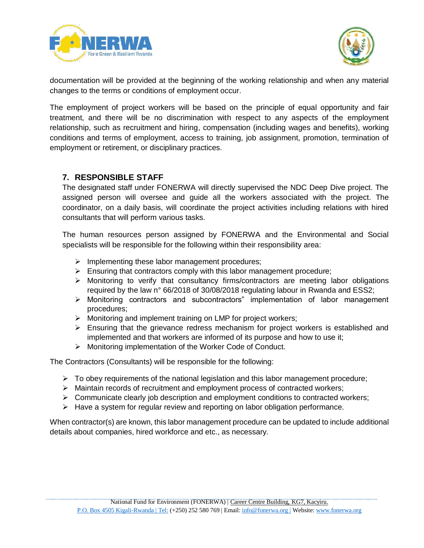



documentation will be provided at the beginning of the working relationship and when any material changes to the terms or conditions of employment occur.

The employment of project workers will be based on the principle of equal opportunity and fair treatment, and there will be no discrimination with respect to any aspects of the employment relationship, such as recruitment and hiring, compensation (including wages and benefits), working conditions and terms of employment, access to training, job assignment, promotion, termination of employment or retirement, or disciplinary practices.

#### <span id="page-10-0"></span>**7. RESPONSIBLE STAFF**

The designated staff under FONERWA will directly supervised the NDC Deep Dive project. The assigned person will oversee and guide all the workers associated with the project. The coordinator, on a daily basis, will coordinate the project activities including relations with hired consultants that will perform various tasks.

The human resources person assigned by FONERWA and the Environmental and Social specialists will be responsible for the following within their responsibility area:

- $\triangleright$  Implementing these labor management procedures;
- $\triangleright$  Ensuring that contractors comply with this labor management procedure;
- $\triangleright$  Monitoring to verify that consultancy firms/contractors are meeting labor obligations required by the law n° 66/2018 of 30/08/2018 regulating labour in Rwanda and ESS2;
- Monitoring contractors and subcontractors" implementation of labor management procedures;
- $\triangleright$  Monitoring and implement training on LMP for project workers;
- $\triangleright$  Ensuring that the grievance redress mechanism for project workers is established and implemented and that workers are informed of its purpose and how to use it;
- > Monitoring implementation of the Worker Code of Conduct.

The Contractors (Consultants) will be responsible for the following:

- $\triangleright$  To obey requirements of the national legislation and this labor management procedure;
- Maintain records of recruitment and employment process of contracted workers;
- $\triangleright$  Communicate clearly job description and employment conditions to contracted workers;
- $\triangleright$  Have a system for regular review and reporting on labor obligation performance.

When contractor(s) are known, this labor management procedure can be updated to include additional details about companies, hired workforce and etc., as necessary.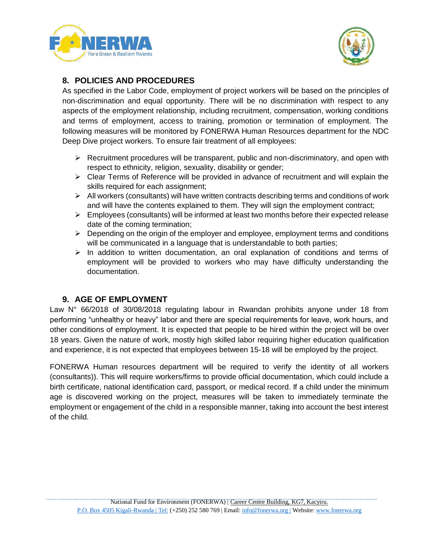



#### <span id="page-11-0"></span>**8. POLICIES AND PROCEDURES**

As specified in the Labor Code, employment of project workers will be based on the principles of non-discrimination and equal opportunity. There will be no discrimination with respect to any aspects of the employment relationship, including recruitment, compensation, working conditions and terms of employment, access to training, promotion or termination of employment. The following measures will be monitored by FONERWA Human Resources department for the NDC Deep Dive project workers. To ensure fair treatment of all employees:

- $\triangleright$  Recruitment procedures will be transparent, public and non-discriminatory, and open with respect to ethnicity, religion, sexuality, disability or gender;
- $\triangleright$  Clear Terms of Reference will be provided in advance of recruitment and will explain the skills required for each assignment;
- $\triangleright$  All workers (consultants) will have written contracts describing terms and conditions of work and will have the contents explained to them. They will sign the employment contract;
- $\triangleright$  Employees (consultants) will be informed at least two months before their expected release date of the coming termination;
- $\triangleright$  Depending on the origin of the employer and employee, employment terms and conditions will be communicated in a language that is understandable to both parties;
- $\triangleright$  In addition to written documentation, an oral explanation of conditions and terms of employment will be provided to workers who may have difficulty understanding the documentation.

#### **9. AGE OF EMPLOYMENT**

<span id="page-11-1"></span>Law N° 66/2018 of 30/08/2018 regulating labour in Rwandan prohibits anyone under 18 from performing "unhealthy or heavy" labor and there are special requirements for leave, work hours, and other conditions of employment. It is expected that people to be hired within the project will be over 18 years. Given the nature of work, mostly high skilled labor requiring higher education qualification and experience, it is not expected that employees between 15-18 will be employed by the project.

FONERWA Human resources department will be required to verify the identity of all workers (consultants)). This will require workers/firms to provide official documentation, which could include a birth certificate, national identification card, passport, or medical record. If a child under the minimum age is discovered working on the project, measures will be taken to immediately terminate the employment or engagement of the child in a responsible manner, taking into account the best interest of the child.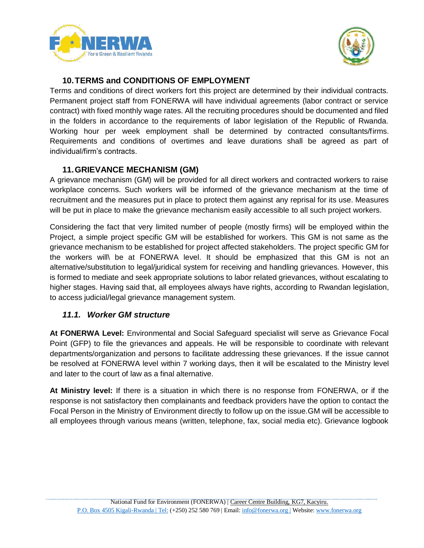



#### **10.TERMS and CONDITIONS OF EMPLOYMENT**

<span id="page-12-0"></span>Terms and conditions of direct workers fort this project are determined by their individual contracts. Permanent project staff from FONERWA will have individual agreements (labor contract or service contract) with fixed monthly wage rates. All the recruiting procedures should be documented and filed in the folders in accordance to the requirements of labor legislation of the Republic of Rwanda. Working hour per week employment shall be determined by contracted consultants/firms. Requirements and conditions of overtimes and leave durations shall be agreed as part of individual/firm's contracts.

#### **11.GRIEVANCE MECHANISM (GM)**

<span id="page-12-1"></span>A grievance mechanism (GM) will be provided for all direct workers and contracted workers to raise workplace concerns. Such workers will be informed of the grievance mechanism at the time of recruitment and the measures put in place to protect them against any reprisal for its use. Measures will be put in place to make the grievance mechanism easily accessible to all such project workers.

Considering the fact that very limited number of people (mostly firms) will be employed within the Project, a simple project specific GM will be established for workers. This GM is not same as the grievance mechanism to be established for project affected stakeholders. The project specific GM for the workers will\ be at FONERWA level. It should be emphasized that this GM is not an alternative/substitution to legal/juridical system for receiving and handling grievances. However, this is formed to mediate and seek appropriate solutions to labor related grievances, without escalating to higher stages. Having said that, all employees always have rights, according to Rwandan legislation, to access judicial/legal grievance management system.

#### <span id="page-12-2"></span>*11.1. Worker GM structure*

**At FONERWA Level:** Environmental and Social Safeguard specialist will serve as Grievance Focal Point (GFP) to file the grievances and appeals. He will be responsible to coordinate with relevant departments/organization and persons to facilitate addressing these grievances. If the issue cannot be resolved at FONERWA level within 7 working days, then it will be escalated to the Ministry level and later to the court of law as a final alternative.

**At Ministry level:** If there is a situation in which there is no response from FONERWA, or if the response is not satisfactory then complainants and feedback providers have the option to contact the Focal Person in the Ministry of Environment directly to follow up on the issue.GM will be accessible to all employees through various means (written, telephone, fax, social media etc). Grievance logbook